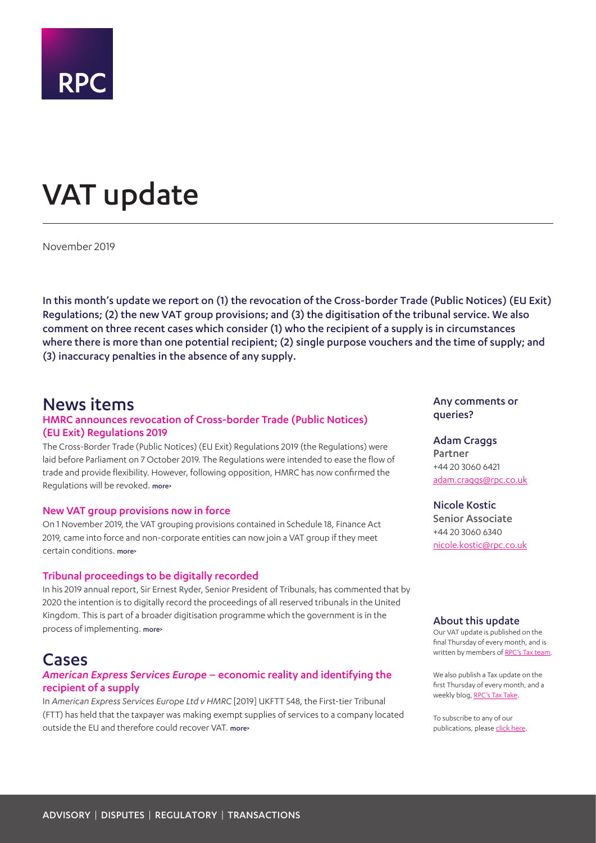

# <span id="page-0-0"></span>VAT update

November 2019

In this month's update we report on (1) the revocation of the Cross-border Trade (Public Notices) (EU Exit) Regulations; (2) the new VAT group provisions; and (3) the digitisation of the tribunal service. We also comment on three recent cases which consider (1) who the recipient of a supply is in circumstances where there is more than one potential recipient; (2) single purpose vouchers and the time of supply; and (3) inaccuracy penalties in the absence of any supply.

# News items

# HMRC announces revocation of Cross-border Trade (Public Notices) (EU Exit) Regulations 2019

The Cross-Border Trade (Public Notices) (EU Exit) Regulations 2019 (the Regulations) were laid before Parliament on 7 October 2019. The Regulations were intended to ease the flow of trade and provide flexibility. However, following opposition, HMRC has now confirmed the Regulations will be revoked. more>

# New VAT group provisions now in force

On 1 November 2019, the VAT grouping provisions contained in Schedule 18, Finance Act 2019, came into force and non-corporate entities can now join a VAT group if they meet certain conditions. [more>](#page-2-0)

# Tribunal proceedings to be digitally recorded

In his 2019 annual report, Sir Ernest Ryder, Senior President of Tribunals, has commented that by 2020 the intention is to digitally record the proceedings of all reserved tribunals in the United Kingdom. This is part of a broader digitisation programme which the government is in the process of implementing. [more>](#page-3-0)

# Cases

# *American Express Services Europe* – economic reality and identifying the recipient of a supply

In *American Express Services Europe Ltd v HMRC* [2019] UKFTT 548, the First-tier Tribunal (FTT) has held that the taxpayer was making exempt supplies of services to a company located outside the EU and therefore could recover VAT. [more>](#page-4-0)

# Any comments or queries?

Adam Craggs Partner +44 20 3060 6421 adam.craggs@rpc.co.uk

#### Nicole Kostic

Senior Associate +44 20 3060 6340 nicole.kostic@rpc.co.uk

# About this update

Our VAT update is published on the final Thursday of every month, and is written by members of [RPC's Tax team.](https://www.rpc.co.uk/expertise/disputes-litigation-and-investigations/tax-disputes)

We also publish a Tax update on the first Thursday of every month, and a weekly blog, [RPC's Tax Take](https://www.rpc.co.uk/perspectives/?topic=tax-take).

To subscribe to any of our publications, please [click here](https://sites-rpc.vuturevx.com/5/8/landing-pages/subscribe-london.asp).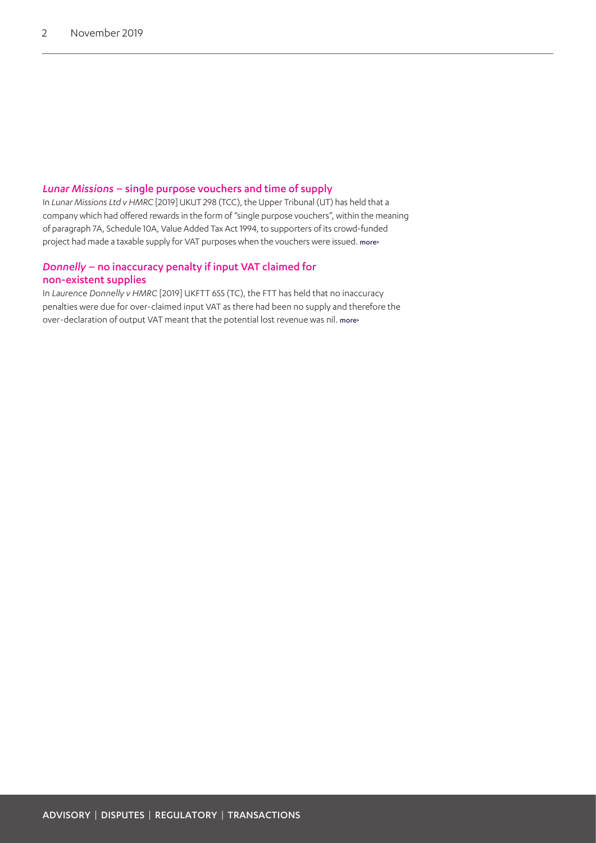## *Lunar Missions* – single purpose vouchers and time of supply

In *Lunar Missions Ltd v HMRC* [2019] UKUT 298 (TCC), the Upper Tribunal (UT) has held that a company which had offered rewards in the form of "single purpose vouchers", within the meaning of paragraph 7A, Schedule 10A, Value Added Tax Act 1994, to supporters of its crowd-funded project had made a taxable supply for VAT purposes when the vouchers were issued. [more>](#page-6-0)

## *Donnelly* – no inaccuracy penalty if input VAT claimed for non-existent supplies

In *Laurence Donnelly v HMRC* [2019] UKFTT 655 (TC), the FTT has held that no inaccuracy penalties were due for over-claimed input VAT as there had been no supply and therefore the over-declaration of output VAT meant that the potential lost revenue was nil. more>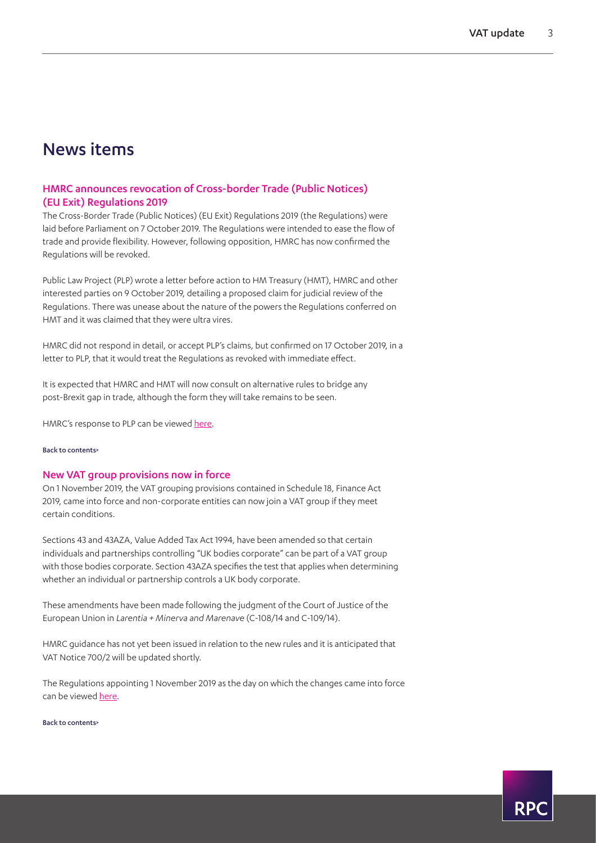# News items

# HMRC announces revocation of Cross-border Trade (Public Notices) (EU Exit) Regulations 2019

The Cross-Border Trade (Public Notices) (EU Exit) Regulations 2019 (the Regulations) were laid before Parliament on 7 October 2019. The Regulations were intended to ease the flow of trade and provide flexibility. However, following opposition, HMRC has now confirmed the Regulations will be revoked.

Public Law Project (PLP) wrote a letter before action to HM Treasury (HMT), HMRC and other interested parties on 9 October 2019, detailing a proposed claim for judicial review of the Regulations. There was unease about the nature of the powers the Regulations conferred on HMT and it was claimed that they were ultra vires.

HMRC did not respond in detail, or accept PLP's claims, but confirmed on 17 October 2019, in a letter to PLP, that it would treat the Regulations as revoked with immediate effect.

It is expected that HMRC and HMT will now consult on alternative rules to bridge any post-Brexit gap in trade, although the form they will take remains to be seen.

HMRC's response to PLP can be viewed [here.](https://publiclawproject.org.uk/wp-content/uploads/2019/10/HMRC-response-to-PLP-Pre-Action-Protocol-191016.pdf)

#### [Back to contents>](#page-0-0)

#### <span id="page-2-0"></span>New VAT group provisions now in force

On 1 November 2019, the VAT grouping provisions contained in Schedule 18, Finance Act 2019, came into force and non-corporate entities can now join a VAT group if they meet certain conditions.

Sections 43 and 43AZA, Value Added Tax Act 1994, have been amended so that certain individuals and partnerships controlling "UK bodies corporate" can be part of a VAT group with those bodies corporate. Section 43AZA specifies the test that applies when determining whether an individual or partnership controls a UK body corporate.

These amendments have been made following the judgment of the Court of Justice of the European Union in *Larentia + Minerva and Marenave* (C-108/14 and C-109/14).

HMRC guidance has not yet been issued in relation to the new rules and it is anticipated that VAT Notice 700/2 will be updated shortly.

The Regulations appointing 1 November 2019 as the day on which the changes came into force can be viewed [here.](http://www.legislation.gov.uk/uksi/2019/1348/pdfs/uksi_20191348_en.pdf)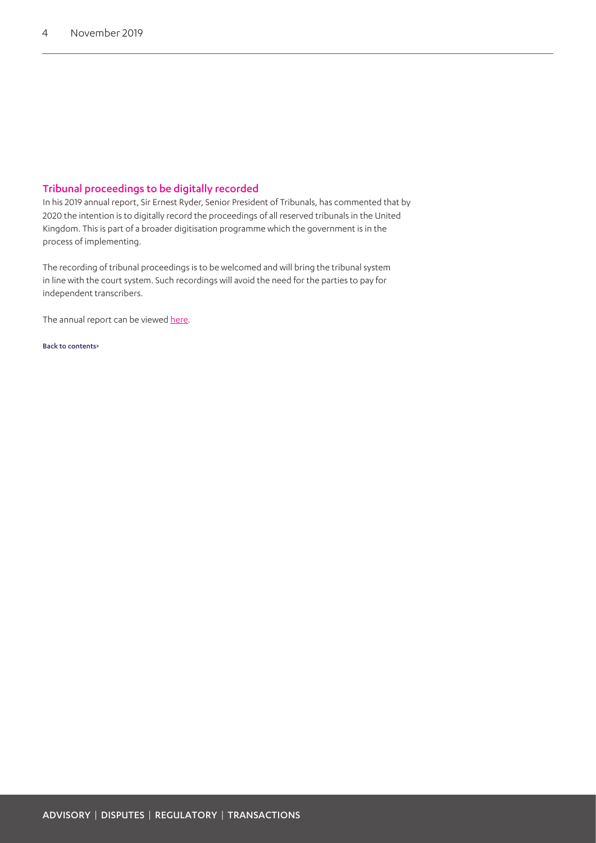# <span id="page-3-0"></span>Tribunal proceedings to be digitally recorded

In his 2019 annual report, Sir Ernest Ryder, Senior President of Tribunals, has commented that by 2020 the intention is to digitally record the proceedings of all reserved tribunals in the United Kingdom. This is part of a broader digitisation programme which the government is in the process of implementing.

The recording of tribunal proceedings is to be welcomed and will bring the tribunal system in line with the court system. Such recordings will avoid the need for the parties to pay for independent transcribers.

The annual report can be viewed [here.](https://www.judiciary.uk/wp-content/uploads/2019/10/6.5845_The-Senior-President-of-Tribunals-Annual-Report-2019_Print_NoCrops.pdf)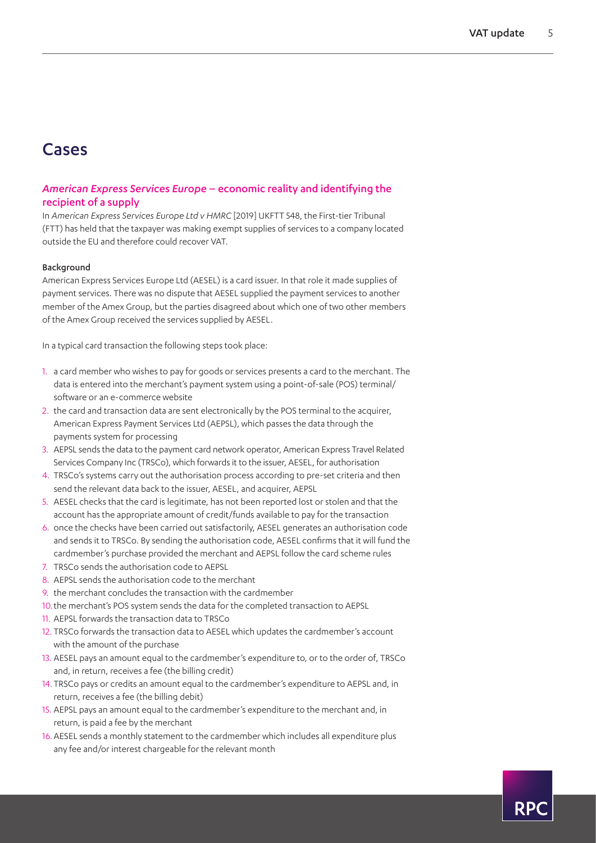# Cases

# <span id="page-4-0"></span>*American Express Services Europe* – economic reality and identifying the recipient of a supply

In *American Express Services Europe Ltd v HMRC* [2019] UKFTT 548, the First-tier Tribunal (FTT) has held that the taxpayer was making exempt supplies of services to a company located outside the EU and therefore could recover VAT.

#### Background

American Express Services Europe Ltd (AESEL) is a card issuer. In that role it made supplies of payment services. There was no dispute that AESEL supplied the payment services to another member of the Amex Group, but the parties disagreed about which one of two other members of the Amex Group received the services supplied by AESEL.

In a typical card transaction the following steps took place:

- 1. a card member who wishes to pay for goods or services presents a card to the merchant. The data is entered into the merchant's payment system using a point-of-sale (POS) terminal/ software or an e-commerce website
- 2. the card and transaction data are sent electronically by the POS terminal to the acquirer, American Express Payment Services Ltd (AEPSL), which passes the data through the payments system for processing
- 3. AEPSL sends the data to the payment card network operator, American Express Travel Related Services Company Inc (TRSCo), which forwards it to the issuer, AESEL, for authorisation
- 4. TRSCo's systems carry out the authorisation process according to pre-set criteria and then send the relevant data back to the issuer, AESEL, and acquirer, AEPSL
- 5. AESEL checks that the card is legitimate, has not been reported lost or stolen and that the account has the appropriate amount of credit/funds available to pay for the transaction
- 6. once the checks have been carried out satisfactorily, AESEL generates an authorisation code and sends it to TRSCo. By sending the authorisation code, AESEL confirms that it will fund the cardmember's purchase provided the merchant and AEPSL follow the card scheme rules
- 7. TRSCo sends the authorisation code to AEPSL
- 8. AEPSL sends the authorisation code to the merchant
- 9. the merchant concludes the transaction with the cardmember
- 10.the merchant's POS system sends the data for the completed transaction to AEPSL
- 11. AEPSL forwards the transaction data to TRSCo
- 12. TRSCo forwards the transaction data to AESEL which updates the cardmember's account with the amount of the purchase
- 13. AESEL pays an amount equal to the cardmember's expenditure to, or to the order of, TRSCo and, in return, receives a fee (the billing credit)
- 14.TRSCo pays or credits an amount equal to the cardmember's expenditure to AEPSL and, in return, receives a fee (the billing debit)
- 15. AEPSL pays an amount equal to the cardmember's expenditure to the merchant and, in return, is paid a fee by the merchant
- 16.AESEL sends a monthly statement to the cardmember which includes all expenditure plus any fee and/or interest chargeable for the relevant month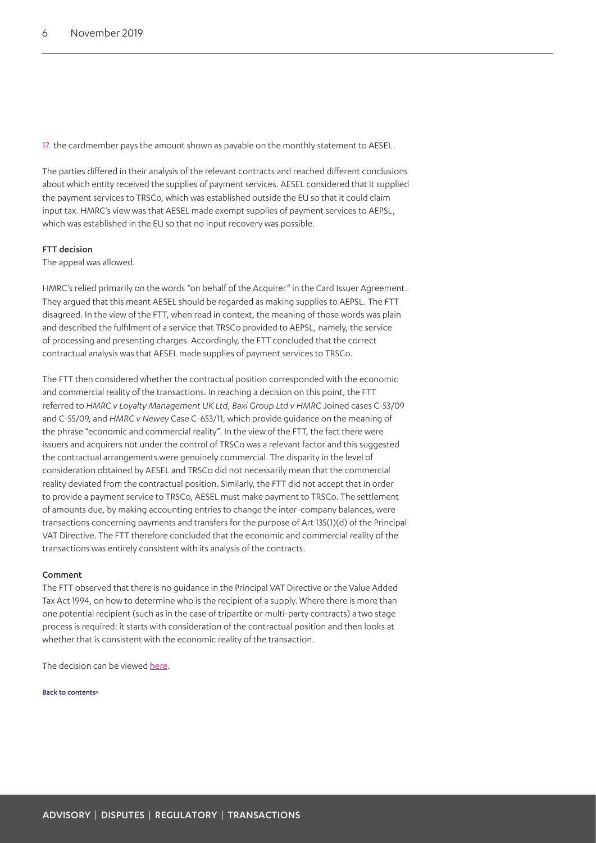17. the cardmember pays the amount shown as payable on the monthly statement to AESEL.

The parties differed in their analysis of the relevant contracts and reached different conclusions about which entity received the supplies of payment services. AESEL considered that it supplied the payment services to TRSCo, which was established outside the EU so that it could claim input tax. HMRC's view was that AESEL made exempt supplies of payment services to AEPSL, which was established in the EU so that no input recovery was possible.

#### FTT decision

The appeal was allowed.

HMRC's relied primarily on the words "on behalf of the Acquirer" in the Card Issuer Agreement. They argued that this meant AESEL should be regarded as making supplies to AEPSL. The FTT disagreed. In the view of the FTT, when read in context, the meaning of those words was plain and described the fulfilment of a service that TRSCo provided to AEPSL, namely, the service of processing and presenting charges. Accordingly, the FTT concluded that the correct contractual analysis was that AESEL made supplies of payment services to TRSCo.

The FTT then considered whether the contractual position corresponded with the economic and commercial reality of the transactions. In reaching a decision on this point, the FTT referred to *HMRC v Loyalty Management UK Ltd, Baxi Group Ltd v HMRC* Joined cases C-53/09 and C-55/09, and *HMRC v Newey* Case C-653/11, which provide guidance on the meaning of the phrase "economic and commercial reality". In the view of the FTT, the fact there were issuers and acquirers not under the control of TRSCo was a relevant factor and this suggested the contractual arrangements were genuinely commercial. The disparity in the level of consideration obtained by AESEL and TRSCo did not necessarily mean that the commercial reality deviated from the contractual position. Similarly, the FTT did not accept that in order to provide a payment service to TRSCo, AESEL must make payment to TRSCo. The settlement of amounts due, by making accounting entries to change the inter-company balances, were transactions concerning payments and transfers for the purpose of Art 135(1)(d) of the Principal VAT Directive. The FTT therefore concluded that the economic and commercial reality of the transactions was entirely consistent with its analysis of the contracts.

#### Comment

The FTT observed that there is no guidance in the Principal VAT Directive or the Value Added Tax Act 1994, on how to determine who is the recipient of a supply. Where there is more than one potential recipient (such as in the case of tripartite or multi-party contracts) a two stage process is required: it starts with consideration of the contractual position and then looks at whether that is consistent with the economic reality of the transaction.

The decision can be viewed [here](https://www.bailii.org/uk/cases/UKFTT/TC/2019/TC07342.html).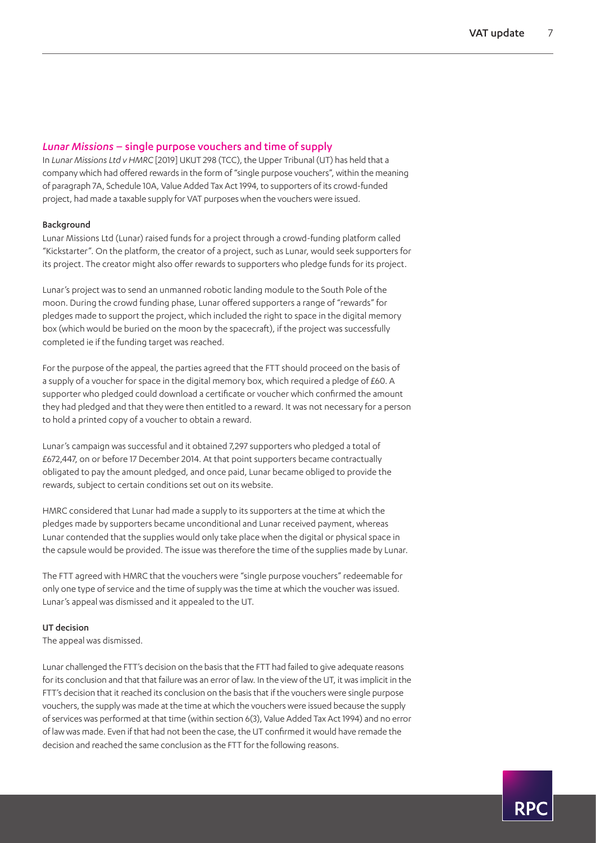## <span id="page-6-0"></span>*Lunar Missions* – single purpose vouchers and time of supply

In *Lunar Missions Ltd v HMRC* [2019] UKUT 298 (TCC), the Upper Tribunal (UT) has held that a company which had offered rewards in the form of "single purpose vouchers", within the meaning of paragraph 7A, Schedule 10A, Value Added Tax Act 1994, to supporters of its crowd-funded project, had made a taxable supply for VAT purposes when the vouchers were issued.

#### Background

Lunar Missions Ltd (Lunar) raised funds for a project through a crowd-funding platform called "Kickstarter". On the platform, the creator of a project, such as Lunar, would seek supporters for its project. The creator might also offer rewards to supporters who pledge funds for its project.

Lunar's project was to send an unmanned robotic landing module to the South Pole of the moon. During the crowd funding phase, Lunar offered supporters a range of "rewards" for pledges made to support the project, which included the right to space in the digital memory box (which would be buried on the moon by the spacecraft), if the project was successfully completed ie if the funding target was reached.

For the purpose of the appeal, the parties agreed that the FTT should proceed on the basis of a supply of a voucher for space in the digital memory box, which required a pledge of £60. A supporter who pledged could download a certificate or voucher which confirmed the amount they had pledged and that they were then entitled to a reward. It was not necessary for a person to hold a printed copy of a voucher to obtain a reward.

Lunar's campaign was successful and it obtained 7,297 supporters who pledged a total of £672,447, on or before 17 December 2014. At that point supporters became contractually obligated to pay the amount pledged, and once paid, Lunar became obliged to provide the rewards, subject to certain conditions set out on its website.

HMRC considered that Lunar had made a supply to its supporters at the time at which the pledges made by supporters became unconditional and Lunar received payment, whereas Lunar contended that the supplies would only take place when the digital or physical space in the capsule would be provided. The issue was therefore the time of the supplies made by Lunar.

The FTT agreed with HMRC that the vouchers were "single purpose vouchers" redeemable for only one type of service and the time of supply was the time at which the voucher was issued. Lunar's appeal was dismissed and it appealed to the UT.

#### UT decision

The appeal was dismissed.

Lunar challenged the FTT's decision on the basis that the FTT had failed to give adequate reasons for its conclusion and that that failure was an error of law. In the view of the UT, it was implicit in the FTT's decision that it reached its conclusion on the basis that if the vouchers were single purpose vouchers, the supply was made at the time at which the vouchers were issued because the supply of services was performed at that time (within section 6(3), Value Added Tax Act 1994) and no error of law was made. Even if that had not been the case, the UT confirmed it would have remade the decision and reached the same conclusion as the FTT for the following reasons.

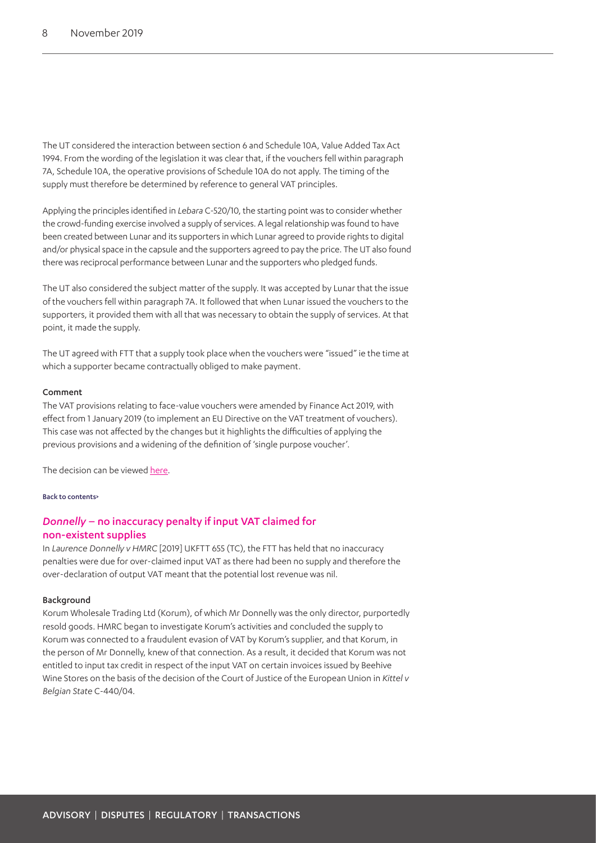The UT considered the interaction between section 6 and Schedule 10A, Value Added Tax Act 1994. From the wording of the legislation it was clear that, if the vouchers fell within paragraph 7A, Schedule 10A, the operative provisions of Schedule 10A do not apply. The timing of the supply must therefore be determined by reference to general VAT principles.

Applying the principles identified in *Lebara* C-520/10, the starting point was to consider whether the crowd-funding exercise involved a supply of services. A legal relationship was found to have been created between Lunar and its supporters in which Lunar agreed to provide rights to digital and/or physical space in the capsule and the supporters agreed to pay the price. The UT also found there was reciprocal performance between Lunar and the supporters who pledged funds.

The UT also considered the subject matter of the supply. It was accepted by Lunar that the issue of the vouchers fell within paragraph 7A. It followed that when Lunar issued the vouchers to the supporters, it provided them with all that was necessary to obtain the supply of services. At that point, it made the supply.

The UT agreed with FTT that a supply took place when the vouchers were "issued" ie the time at which a supporter became contractually obliged to make payment.

#### Comment

The VAT provisions relating to face-value vouchers were amended by Finance Act 2019, with effect from 1 January 2019 (to implement an EU Directive on the VAT treatment of vouchers). This case was not affected by the changes but it highlights the difficulties of applying the previous provisions and a widening of the definition of 'single purpose voucher'.

The decision can be viewed [here.](https://assets.publishing.service.gov.uk/media/5d9ca0abe5274a5a3787dfb9/Lunar_Missions_Ltd_v_HMRC.pdf)

#### [Back to contents>](#page-0-0)

# *Donnelly* – no inaccuracy penalty if input VAT claimed for non-existent supplies

In *Laurence Donnelly v HMRC* [2019] UKFTT 655 (TC), the FTT has held that no inaccuracy penalties were due for over-claimed input VAT as there had been no supply and therefore the over-declaration of output VAT meant that the potential lost revenue was nil.

#### Background

Korum Wholesale Trading Ltd (Korum), of which Mr Donnelly was the only director, purportedly resold goods. HMRC began to investigate Korum's activities and concluded the supply to Korum was connected to a fraudulent evasion of VAT by Korum's supplier, and that Korum, in the person of Mr Donnelly, knew of that connection. As a result, it decided that Korum was not entitled to input tax credit in respect of the input VAT on certain invoices issued by Beehive Wine Stores on the basis of the decision of the Court of Justice of the European Union in *Kittel v Belgian State* C-440/04.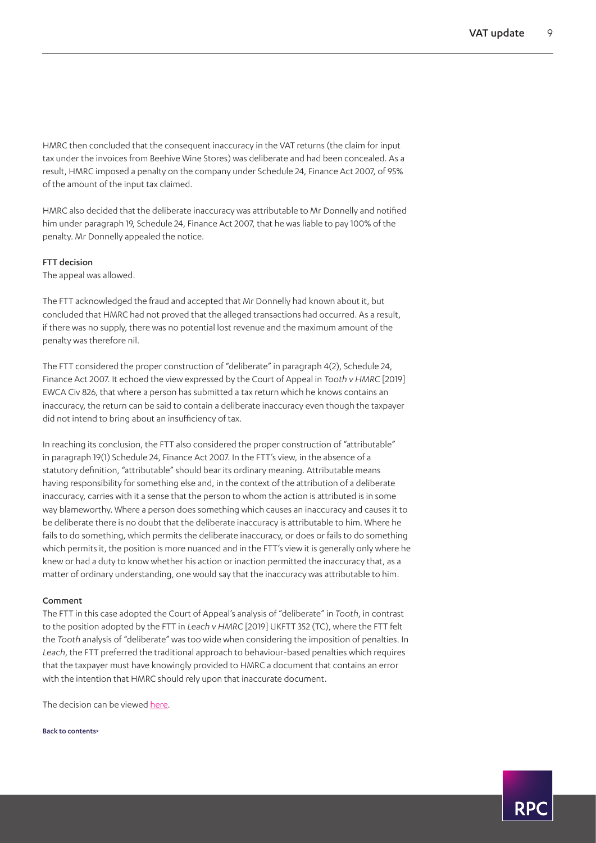HMRC then concluded that the consequent inaccuracy in the VAT returns (the claim for input tax under the invoices from Beehive Wine Stores) was deliberate and had been concealed. As a result, HMRC imposed a penalty on the company under Schedule 24, Finance Act 2007, of 95% of the amount of the input tax claimed.

HMRC also decided that the deliberate inaccuracy was attributable to Mr Donnelly and notified him under paragraph 19, Schedule 24, Finance Act 2007, that he was liable to pay 100% of the penalty. Mr Donnelly appealed the notice.

#### FTT decision

The appeal was allowed.

The FTT acknowledged the fraud and accepted that Mr Donnelly had known about it, but concluded that HMRC had not proved that the alleged transactions had occurred. As a result, if there was no supply, there was no potential lost revenue and the maximum amount of the penalty was therefore nil.

The FTT considered the proper construction of "deliberate" in paragraph 4(2), Schedule 24, Finance Act 2007. It echoed the view expressed by the Court of Appeal in *Tooth v HMRC* [2019] EWCA Civ 826, that where a person has submitted a tax return which he knows contains an inaccuracy, the return can be said to contain a deliberate inaccuracy even though the taxpayer did not intend to bring about an insufficiency of tax.

In reaching its conclusion, the FTT also considered the proper construction of "attributable" in paragraph 19(1) Schedule 24, Finance Act 2007. In the FTT's view, in the absence of a statutory definition, "attributable" should bear its ordinary meaning. Attributable means having responsibility for something else and, in the context of the attribution of a deliberate inaccuracy, carries with it a sense that the person to whom the action is attributed is in some way blameworthy. Where a person does something which causes an inaccuracy and causes it to be deliberate there is no doubt that the deliberate inaccuracy is attributable to him. Where he fails to do something, which permits the deliberate inaccuracy, or does or fails to do something which permits it, the position is more nuanced and in the FTT's view it is generally only where he knew or had a duty to know whether his action or inaction permitted the inaccuracy that, as a matter of ordinary understanding, one would say that the inaccuracy was attributable to him.

#### Comment

The FTT in this case adopted the Court of Appeal's analysis of "deliberate" in *Tooth*, in contrast to the position adopted by the FTT in *Leach v HMRC* [2019] UKFTT 352 (TC), where the FTT felt the *Tooth* analysis of "deliberate" was too wide when considering the imposition of penalties. In *Leach*, the FTT preferred the traditional approach to behaviour-based penalties which requires that the taxpayer must have knowingly provided to HMRC a document that contains an error with the intention that HMRC should rely upon that inaccurate document.

The decision can be viewed [here.](https://www.bailii.org/uk/cases/UKFTT/TC/2019/TC07430.html)